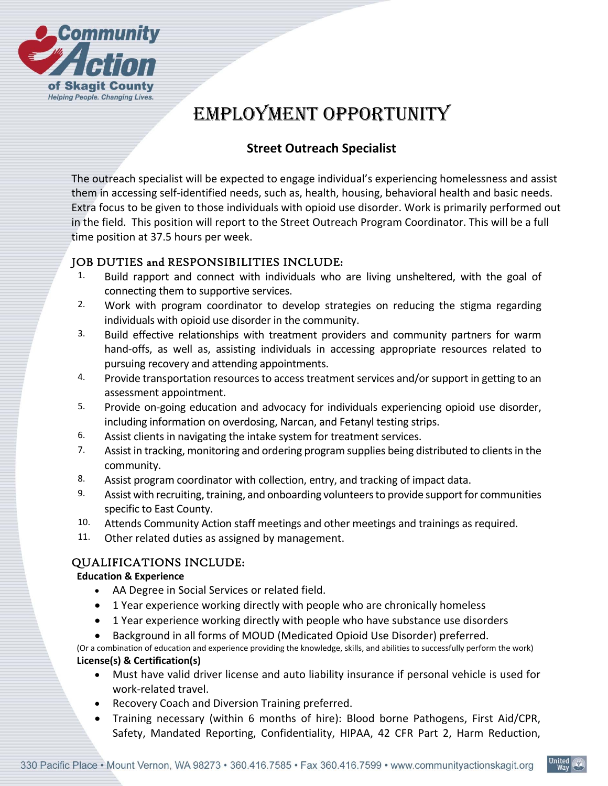

# EMPLOYMENT OPPORTUNITY

# **Street Outreach Specialist**

The outreach specialist will be expected to engage individual's experiencing homelessness and assist them in accessing self‐identified needs, such as, health, housing, behavioral health and basic needs. Extra focus to be given to those individuals with opioid use disorder. Work is primarily performed out in the field. This position will report to the Street Outreach Program Coordinator. This will be a full time position at 37.5 hours per week.

## JOB DUTIES and RESPONSIBILITIES INCLUDE:

- 1. Build rapport and connect with individuals who are living unsheltered, with the goal of connecting them to supportive services.
- 2. Work with program coordinator to develop strategies on reducing the stigma regarding individuals with opioid use disorder in the community.
- 3. Build effective relationships with treatment providers and community partners for warm hand-offs, as well as, assisting individuals in accessing appropriate resources related to pursuing recovery and attending appointments.
- 4. Provide transportation resources to access treatment services and/or support in getting to an assessment appointment.
- 5. Provide on-going education and advocacy for individuals experiencing opioid use disorder, including information on overdosing, Narcan, and Fetanyl testing strips.
- 6. Assist clients in navigating the intake system for treatment services.
- 7. Assist in tracking, monitoring and ordering program supplies being distributed to clients in the community.
- 8. Assist program coordinator with collection, entry, and tracking of impact data.
- 9. Assist with recruiting, training, and onboarding volunteers to provide support for communities specific to East County.
- 10. Attends Community Action staff meetings and other meetings and trainings as required.
- 11. Other related duties as assigned by management.

## QUALIFICATIONS INCLUDE:

#### **Education & Experience**

- AA Degree in Social Services or related field.
- 1 Year experience working directly with people who are chronically homeless
- 1 Year experience working directly with people who have substance use disorders
- Background in all forms of MOUD (Medicated Opioid Use Disorder) preferred.

(Or a combination of education and experience providing the knowledge, skills, and abilities to successfully perform the work) **License(s) & Certification(s)** 

- Must have valid driver license and auto liability insurance if personal vehicle is used for work‐related travel.
- Recovery Coach and Diversion Training preferred.
- Training necessary (within 6 months of hire): Blood borne Pathogens, First Aid/CPR, Safety, Mandated Reporting, Confidentiality, HIPAA, 42 CFR Part 2, Harm Reduction,

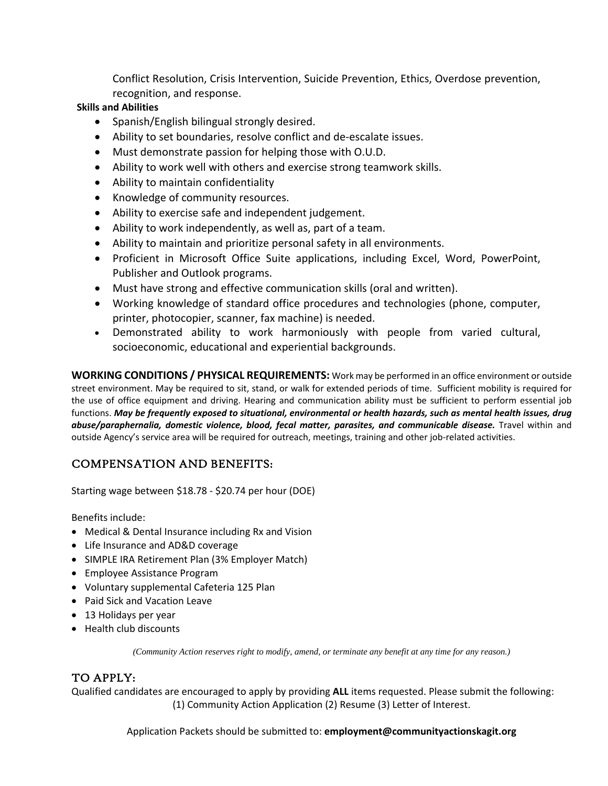Conflict Resolution, Crisis Intervention, Suicide Prevention, Ethics, Overdose prevention, recognition, and response.

#### **Skills and Abilities**

- Spanish/English bilingual strongly desired.
- Ability to set boundaries, resolve conflict and de-escalate issues.
- Must demonstrate passion for helping those with O.U.D.
- Ability to work well with others and exercise strong teamwork skills.
- Ability to maintain confidentiality
- Knowledge of community resources.
- Ability to exercise safe and independent judgement.
- Ability to work independently, as well as, part of a team.
- Ability to maintain and prioritize personal safety in all environments.
- Proficient in Microsoft Office Suite applications, including Excel, Word, PowerPoint, Publisher and Outlook programs.
- Must have strong and effective communication skills (oral and written).
- Working knowledge of standard office procedures and technologies (phone, computer, printer, photocopier, scanner, fax machine) is needed.
- Demonstrated ability to work harmoniously with people from varied cultural, socioeconomic, educational and experiential backgrounds.

**WORKING CONDITIONS / PHYSICAL REQUIREMENTS:** Work may be performed in an office environment or outside street environment. May be required to sit, stand, or walk for extended periods of time. Sufficient mobility is required for the use of office equipment and driving. Hearing and communication ability must be sufficient to perform essential job functions. *May be frequently exposed to situational, environmental or health hazards, such as mental health issues, drug abuse/paraphernalia, domestic violence, blood, fecal matter, parasites, and communicable disease.*  Travel within and outside Agency's service area will be required for outreach, meetings, training and other job-related activities.

# COMPENSATION AND BENEFITS:

Starting wage between \$18.78 ‐ \$20.74 per hour (DOE)

Benefits include:

- Medical & Dental Insurance including Rx and Vision
- Life Insurance and AD&D coverage
- SIMPLE IRA Retirement Plan (3% Employer Match)
- Employee Assistance Program
- Voluntary supplemental Cafeteria 125 Plan
- Paid Sick and Vacation Leave
- 13 Holidays per year
- Health club discounts

*(Community Action reserves right to modify, amend, or terminate any benefit at any time for any reason.)*

## TO APPLY:

Qualified candidates are encouraged to apply by providing **ALL** items requested. Please submit the following: (1) Community Action Application (2) Resume (3) Letter of Interest.

Application Packets should be submitted to: **employment@communityactionskagit.org**